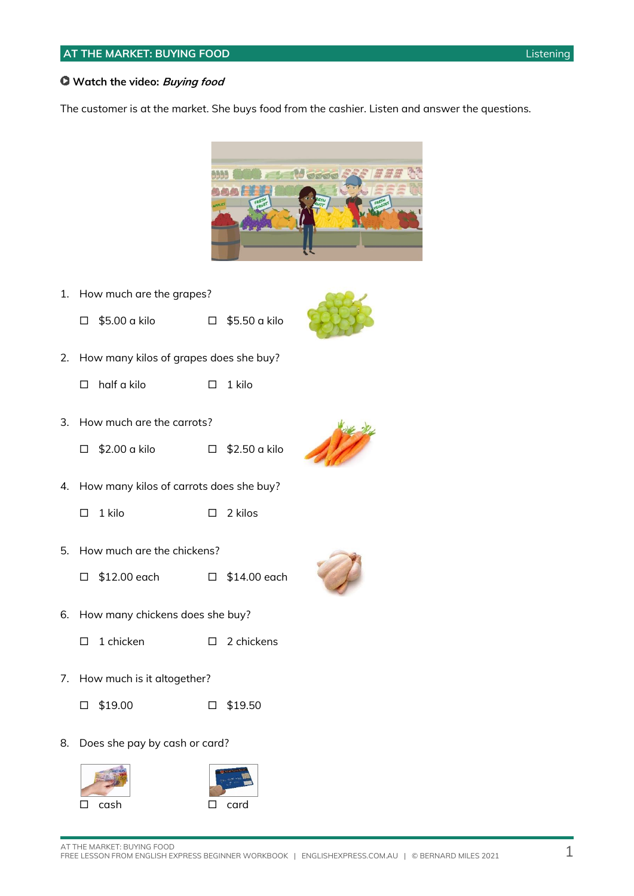#### **Watch the video: Buying food**

The customer is at the market. She buys food from the cashier. Listen and answer the questions.



1. How much are the grapes?





- $\Box$  half a kilo  $\Box$  1 kilo
- 3. How much are the carrots?
	- $\Box$  \$2.00 a kilo  $\Box$  \$2.50 a kilo



- 4. How many kilos of carrots does she buy?
	- $\Box$  1 kilo  $\Box$  2 kilos
- 5. How much are the chickens?
	- $\Box$  \$12.00 each  $\Box$  \$14.00 each
- 6. How many chickens does she buy?
	- $\Box$  1 chicken  $\Box$  2 chickens
- 7. How much is it altogether?
	- $\Box$  \$19.00  $\Box$  \$19.50
- 8. Does she pay by cash or card?



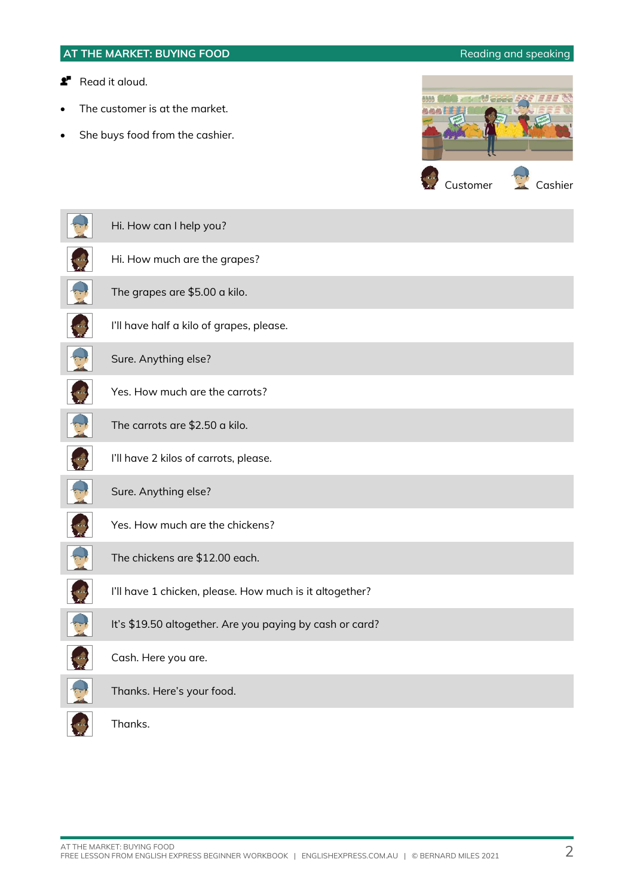|                     | AT THE MARKET: BUYING FOOD                                                          | Reading and speaking |
|---------------------|-------------------------------------------------------------------------------------|----------------------|
| r<br>$\bullet$<br>٠ | Read it aloud.<br>The customer is at the market.<br>She buys food from the cashier. | (9)<br>SPOR          |
|                     |                                                                                     | Customer<br>Cashier  |
|                     | Hi. How can I help you?                                                             |                      |
|                     | Hi. How much are the grapes?                                                        |                      |
|                     | The grapes are \$5.00 a kilo.                                                       |                      |
|                     | I'll have half a kilo of grapes, please.                                            |                      |
|                     | Sure. Anything else?                                                                |                      |
|                     | Yes. How much are the carrots?                                                      |                      |
|                     | The carrots are \$2.50 a kilo.                                                      |                      |
|                     | I'll have 2 kilos of carrots, please.                                               |                      |
|                     | Sure. Anything else?                                                                |                      |
|                     | Yes. How much are the chickens?                                                     |                      |
|                     | The chickens are \$12.00 each.                                                      |                      |
|                     | I'll have 1 chicken, please. How much is it altogether?                             |                      |
|                     | It's \$19.50 altogether. Are you paying by cash or card?                            |                      |
|                     | Cash. Here you are.                                                                 |                      |
|                     | Thanks. Here's your food.                                                           |                      |
|                     | Thanks.                                                                             |                      |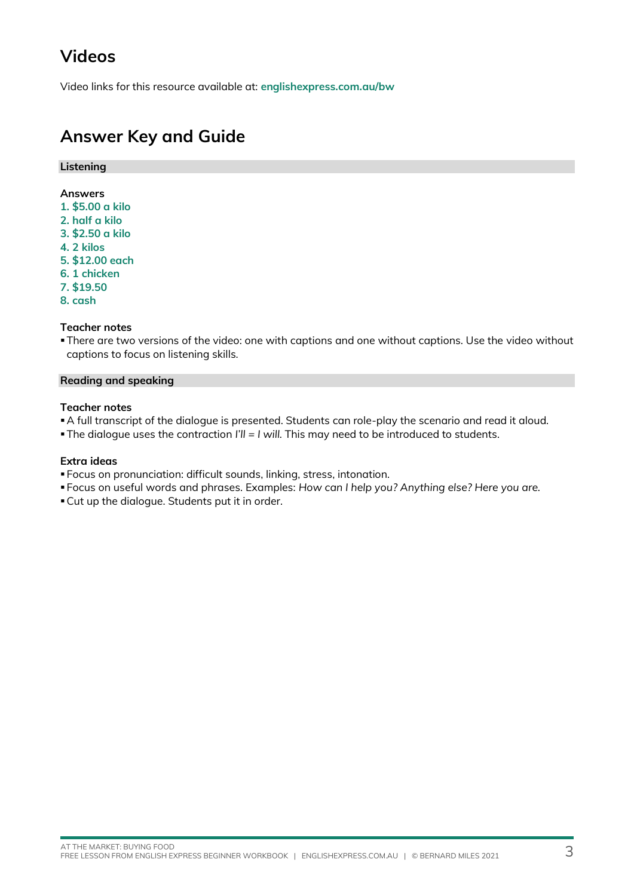# **Videos**

Video links for this resource available at: **[englishexpress.com.au/bw](https://www.englishexpress.com.au/bw)**

### **Answer Key and Guide**

#### **Listening**

#### **Answers**

- **1. \$5.00 a kilo**
- **2. half a kilo**
- **3. \$2.50 a kilo**
- **4. 2 kilos**
- **5. \$12.00 each**
- **6. 1 chicken**
- **7. \$19.50**
- **8. cash**

#### **Teacher notes**

▪There are two versions of the video: one with captions and one without captions. Use the video without captions to focus on listening skills.

#### **Reading and speaking**

#### **Teacher notes**

▪A full transcript of the dialogue is presented. Students can role-play the scenario and read it aloud.

▪The dialogue uses the contraction *I'll = I will.* This may need to be introduced to students.

### **Extra ideas**

- Focus on pronunciation: difficult sounds, linking, stress, intonation.
- Focus on useful words and phrases. Examples: *How can I help you? Anything else? Here you are.*
- ▪Cut up the dialogue. Students put it in order.